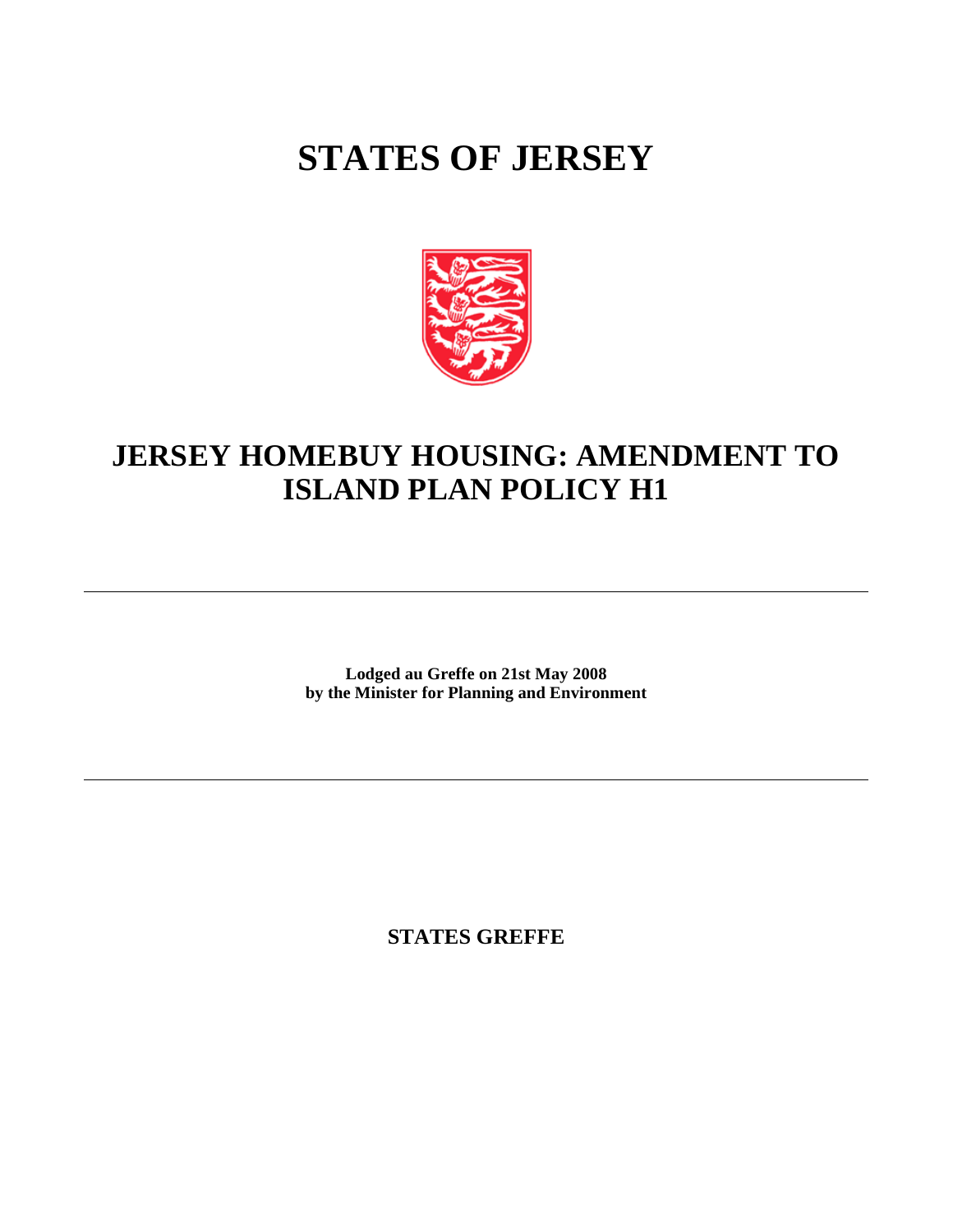# **STATES OF JERSEY**



## **JERSEY HOMEBUY HOUSING: AMENDMENT TO ISLAND PLAN POLICY H1**

**Lodged au Greffe on 21st May 2008 by the Minister for Planning and Environment**

**STATES GREFFE**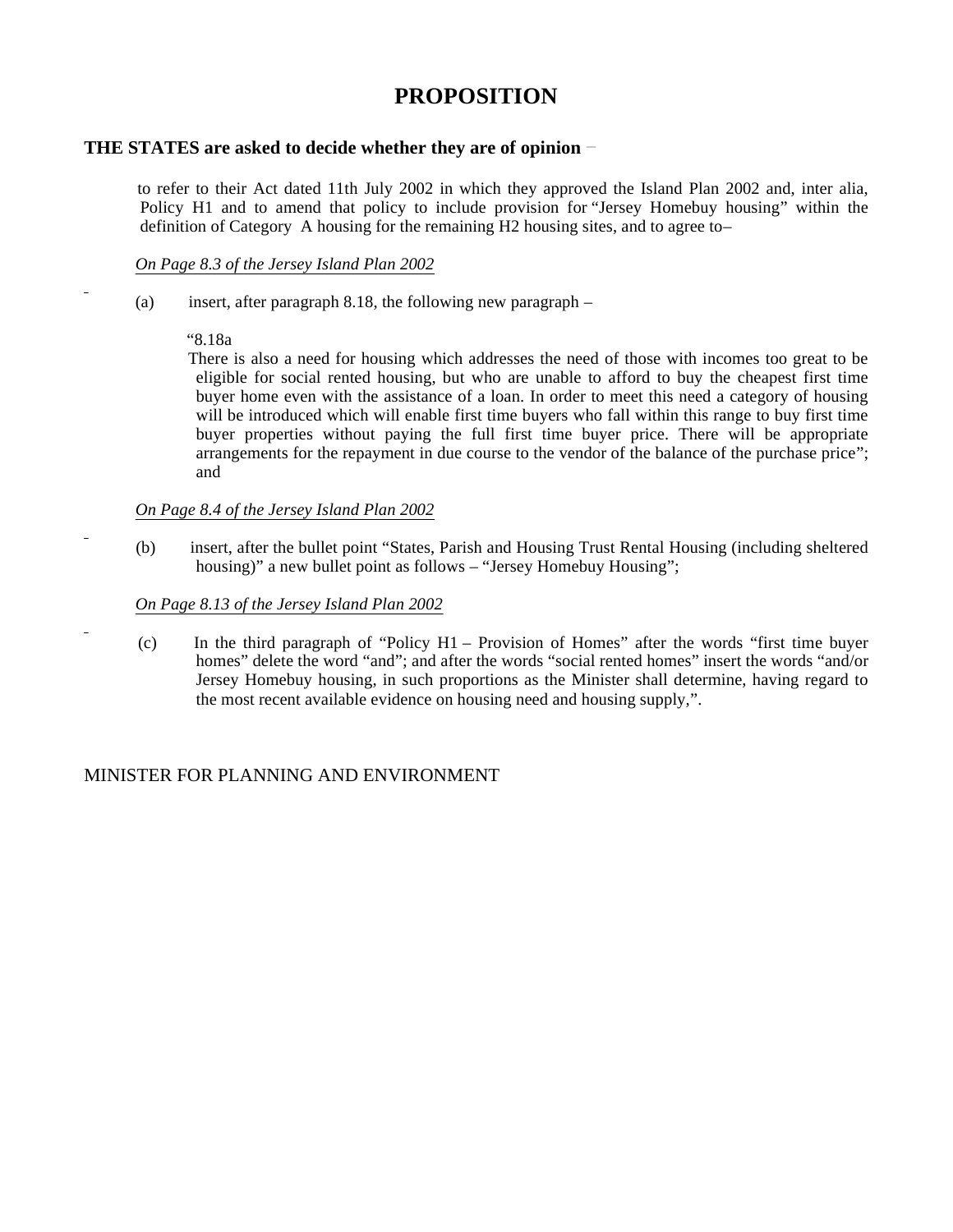### **PROPOSITION**

#### **THE STATES are asked to decide whether they are of opinion**

 to refer to their Act dated 11th July 2002 in which they approved the Island Plan 2002 and, inter alia, Policy H1 and to amend that policy to include provision for "Jersey Homebuy housing" within the definition of Category A housing for the remaining H2 housing sites, and to agree to –

#### *On Page 8.3 of the Jersey Island Plan 2002*

(a) insert, after paragraph 8.18, the following new paragraph  $-$ 

#### "8.18a

There is also a need for housing which addresses the need of those with incomes too great to be eligible for social rented housing, but who are unable to afford to buy the cheapest first time buyer home even with the assistance of a loan. In order to meet this need a category of housing will be introduced which will enable first time buyers who fall within this range to buy first time buyer properties without paying the full first time buyer price. There will be appropriate arrangements for the repayment in due course to the vendor of the balance of the purchase price"; and

#### *On Page 8.4 of the Jersey Island Plan 2002*

 (b) insert, after the bullet point "States, Parish and Housing Trust Rental Housing (including sheltered housing)" a new bullet point as follows – "Jersey Homebuy Housing";

#### *On Page 8.13 of the Jersey Island Plan 2002*

 (c) In the third paragraph of "Policy H1 – Provision of Homes" after the words "first time buyer homes" delete the word "and"; and after the words "social rented homes" insert the words "and/or Jersey Homebuy housing, in such proportions as the Minister shall determine, having regard to the most recent available evidence on housing need and housing supply,".

#### MINISTER FOR PLANNING AND ENVIRONMENT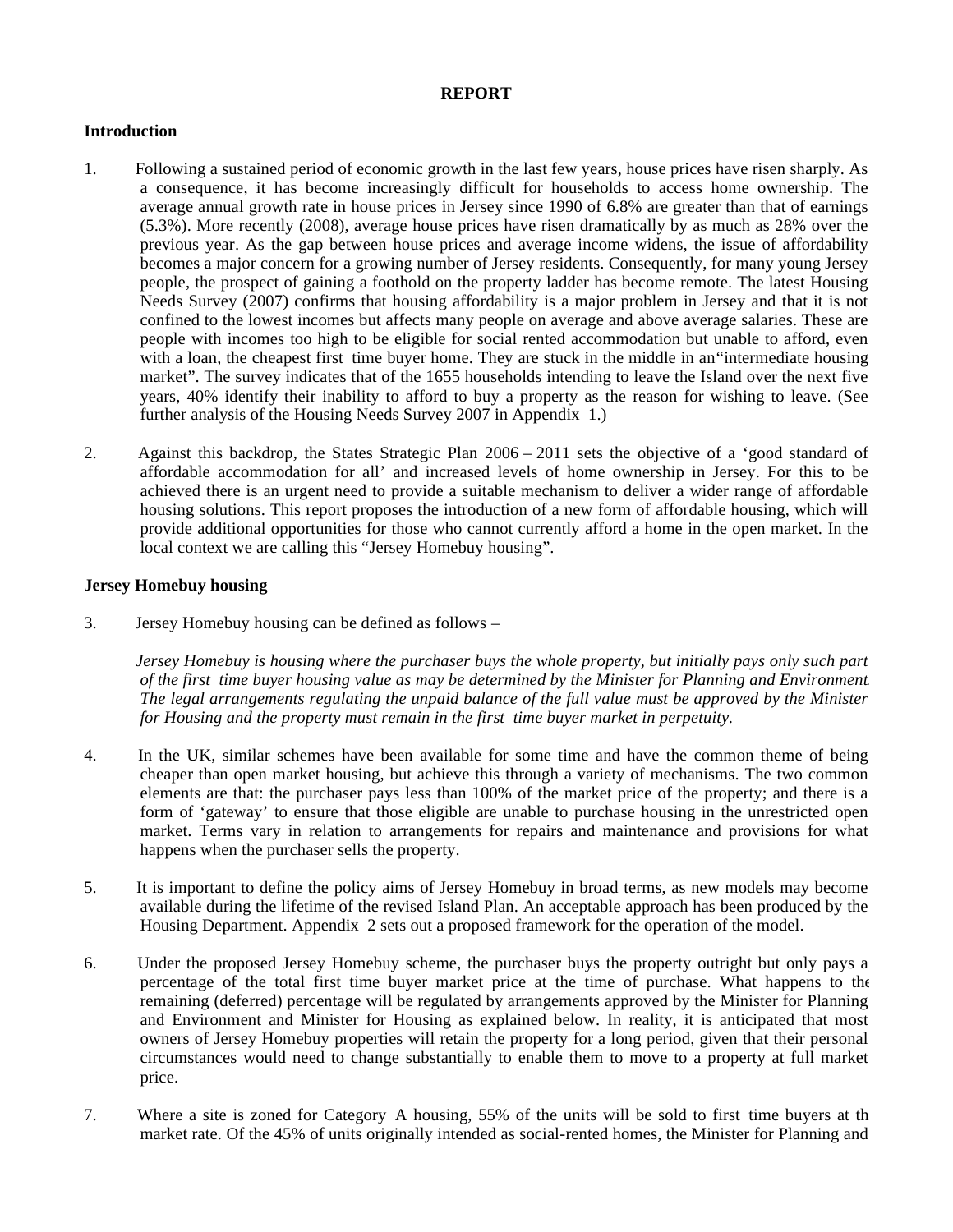#### **REPORT**

#### **Introduction**

- 1. Following a sustained period of economic growth in the last few years, house prices have risen sharply. As a consequence, it has become increasingly difficult for households to access home ownership. The average annual growth rate in house prices in Jersey since 1990 of 6.8% are greater than that of earnings (5.3%). More recently (2008), average house prices have risen dramatically by as much as 28% over the previous year. As the gap between house prices and average income widens, the issue of affordability becomes a major concern for a growing number of Jersey residents. Consequently, for many young Jersey people, the prospect of gaining a foothold on the property ladder has become remote. The latest Housing Needs Survey (2007) confirms that housing affordability is a major problem in Jersey and that it is not confined to the lowest incomes but affects many people on average and above average salaries. These are people with incomes too high to be eligible for social rented accommodation but unable to afford, even with a loan, the cheapest first time buyer home. They are stuck in the middle in an "intermediate housing" market". The survey indicates that of the 1655 households intending to leave the Island over the next five years, 40% identify their inability to afford to buy a property as the reason for wishing to leave. (See further analysis of the Housing Needs Survey 2007 in Appendix 1.)
- 2. Against this backdrop, the States Strategic Plan 2006 2011 sets the objective of a 'good standard of affordable accommodation for all' and increased levels of home ownership in Jersey. For this to be achieved there is an urgent need to provide a suitable mechanism to deliver a wider range of affordable housing solutions. This report proposes the introduction of a new form of affordable housing, which will provide additional opportunities for those who cannot currently afford a home in the open market. In the local context we are calling this "Jersey Homebuy housing".

#### **Jersey Homebuy housing**

3. Jersey Homebuy housing can be defined as follows –

 *Jersey Homebuy is housing where the purchaser buys the whole property, but initially pays only such part of the first time buyer housing value as may be determined by the Minister for Planning and Environment. The legal arrangements regulating the unpaid balance of the full value must be approved by the Minister for Housing and the property must remain in the first time buyer market in perpetuity.*

- 4. In the UK, similar schemes have been available for some time and have the common theme of being cheaper than open market housing, but achieve this through a variety of mechanisms. The two common elements are that: the purchaser pays less than 100% of the market price of the property; and there is a form of 'gateway' to ensure that those eligible are unable to purchase housing in the unrestricted open market. Terms vary in relation to arrangements for repairs and maintenance and provisions for what happens when the purchaser sells the property.
- 5. It is important to define the policy aims of Jersey Homebuy in broad terms, as new models may become available during the lifetime of the revised Island Plan. An acceptable approach has been produced by the Housing Department. Appendix 2 sets out a proposed framework for the operation of the model.
- 6. Under the proposed Jersey Homebuy scheme, the purchaser buys the property outright but only pays a percentage of the total first time buyer market price at the time of purchase. What happens to the remaining (deferred) percentage will be regulated by arrangements approved by the Minister for Planning and Environment and Minister for Housing as explained below. In reality, it is anticipated that most owners of Jersey Homebuy properties will retain the property for a long period, given that their personal circumstances would need to change substantially to enable them to move to a property at full market price.
- 7. Where a site is zoned for Category A housing, 55% of the units will be sold to first time buyers at the market rate. Of the 45% of units originally intended as social-rented homes, the Minister for Planning and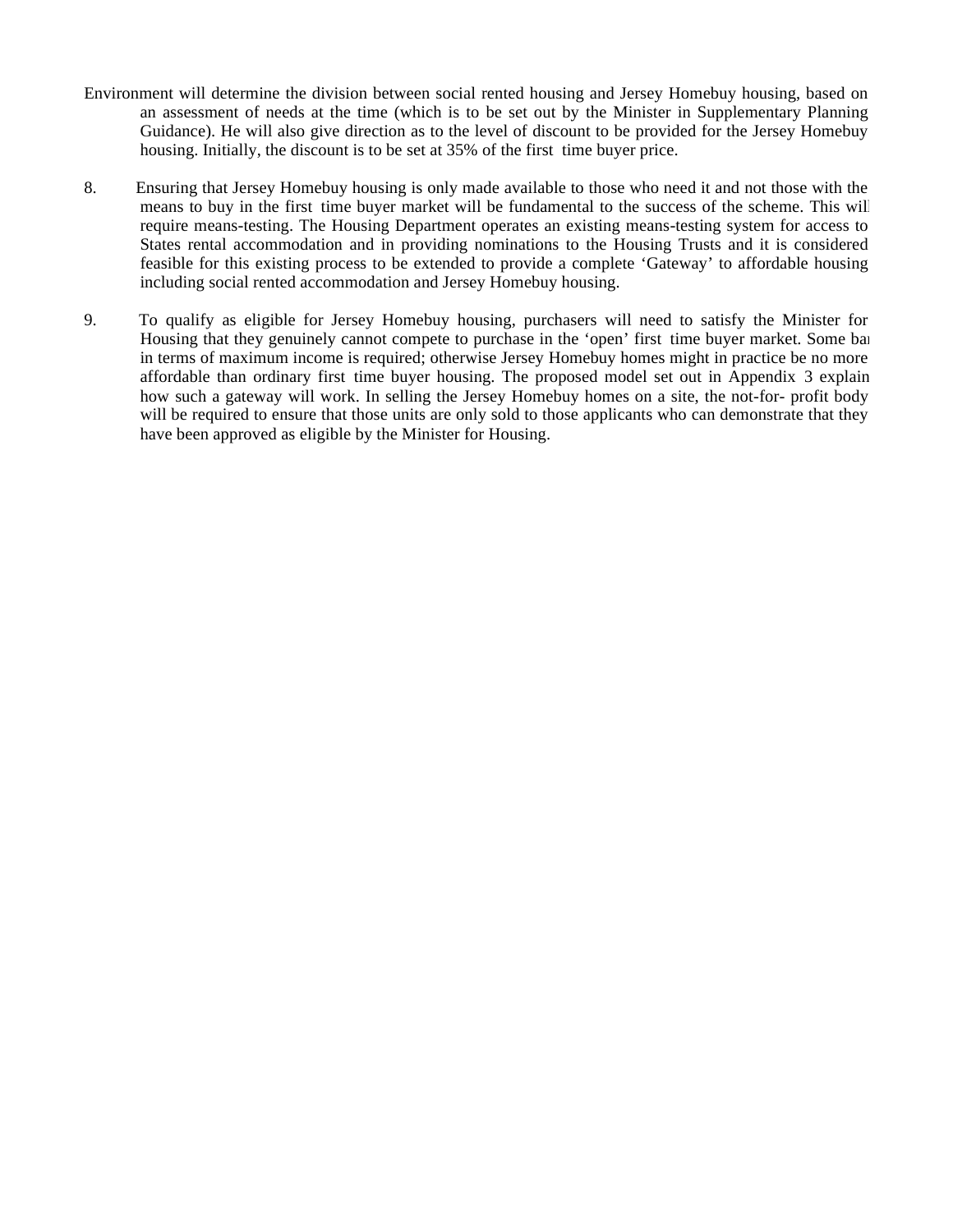- Environment will determine the division between social rented housing and Jersey Homebuy housing, based on an assessment of needs at the time (which is to be set out by the Minister in Supplementary Planning Guidance). He will also give direction as to the level of discount to be provided for the Jersey Homebuy housing. Initially, the discount is to be set at 35% of the first time buyer price.
- 8. Ensuring that Jersey Homebuy housing is only made available to those who need it and not those with the means to buy in the first time buyer market will be fundamental to the success of the scheme. This will require means-testing. The Housing Department operates an existing means-testing system for access to States rental accommodation and in providing nominations to the Housing Trusts and it is considered feasible for this existing process to be extended to provide a complete 'Gateway' to affordable housing including social rented accommodation and Jersey Homebuy housing.
- 9. To qualify as eligible for Jersey Homebuy housing, purchasers will need to satisfy the Minister for Housing that they genuinely cannot compete to purchase in the 'open' first time buyer market. Some bar in terms of maximum income is required; otherwise Jersey Homebuy homes might in practice be no more affordable than ordinary first time buyer housing. The proposed model set out in Appendix 3 explain how such a gateway will work. In selling the Jersey Homebuy homes on a site, the not-for- profit body will be required to ensure that those units are only sold to those applicants who can demonstrate that they have been approved as eligible by the Minister for Housing.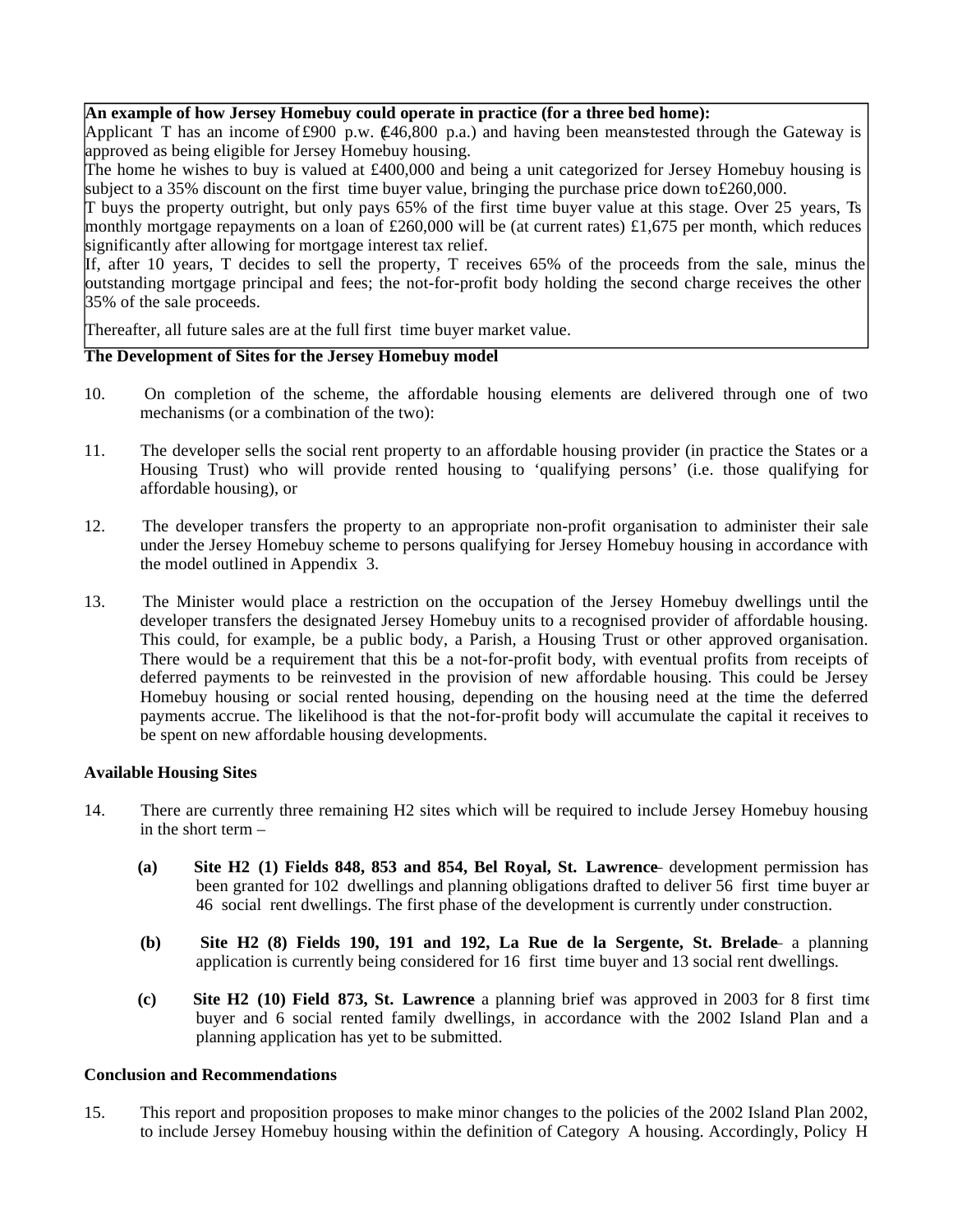#### **An example of how Jersey Homebuy could operate in practice (for a three bed home):**

Applicant T has an income of £900 p.w.  $\mathcal{L}46,800$  p.a.) and having been meanstested through the Gateway is approved as being eligible for Jersey Homebuy housing.

The home he wishes to buy is valued at £400,000 and being a unit categorized for Jersey Homebuy housing is subject to a 35% discount on the first time buyer value, bringing the purchase price down to  $\text{\pounds}260,000$ .

T buys the property outright, but only pays 65% of the first time buyer value at this stage. Over 25 years, Ts monthly mortgage repayments on a loan of £260,000 will be (at current rates) £1,675 per month, which reduces significantly after allowing for mortgage interest tax relief.

If, after 10 years, T decides to sell the property, T receives 65% of the proceeds from the sale, minus the outstanding mortgage principal and fees; the not-for-profit body holding the second charge receives the other 35% of the sale proceeds.

Thereafter, all future sales are at the full first time buyer market value.

#### **The Development of Sites for the Jersey Homebuy model**

- 10. On completion of the scheme, the affordable housing elements are delivered through one of two mechanisms (or a combination of the two):
- 11. The developer sells the social rent property to an affordable housing provider (in practice the States or a Housing Trust) who will provide rented housing to 'qualifying persons' (i.e. those qualifying for affordable housing), or
- 12. The developer transfers the property to an appropriate non-profit organisation to administer their sale under the Jersey Homebuy scheme to persons qualifying for Jersey Homebuy housing in accordance with the model outlined in Appendix 3.
- 13. The Minister would place a restriction on the occupation of the Jersey Homebuy dwellings until the developer transfers the designated Jersey Homebuy units to a recognised provider of affordable housing. This could, for example, be a public body, a Parish, a Housing Trust or other approved organisation. There would be a requirement that this be a not-for-profit body, with eventual profits from receipts of deferred payments to be reinvested in the provision of new affordable housing. This could be Jersey Homebuy housing or social rented housing, depending on the housing need at the time the deferred payments accrue. The likelihood is that the not-for-profit body will accumulate the capital it receives to be spent on new affordable housing developments.

#### **Available Housing Sites**

- 14. There are currently three remaining H2 sites which will be required to include Jersey Homebuy housing in the short term –
	- **(a) Site H2 (1) Fields 848, 853 and 854, Bel Royal, St. Lawrence**  development permission has been granted for 102 dwellings and planning obligations drafted to deliver 56 first time buyer and 46 social rent dwellings. The first phase of the development is currently under construction.
	- **(b) Site H2 (8) Fields 190, 191 and 192, La Rue de la Sergente, St. Brelade** a planning application is currently being considered for 16 first time buyer and 13 social rent dwellings.
	- **(c) Site H2 (10) Field 873, St. Lawrence** a planning brief was approved in 2003 for 8 first time buyer and 6 social rented family dwellings, in accordance with the 2002 Island Plan and a planning application has yet to be submitted.

#### **Conclusion and Recommendations**

15. This report and proposition proposes to make minor changes to the policies of the 2002 Island Plan 2002, to include Jersey Homebuy housing within the definition of Category A housing. Accordingly, Policy H1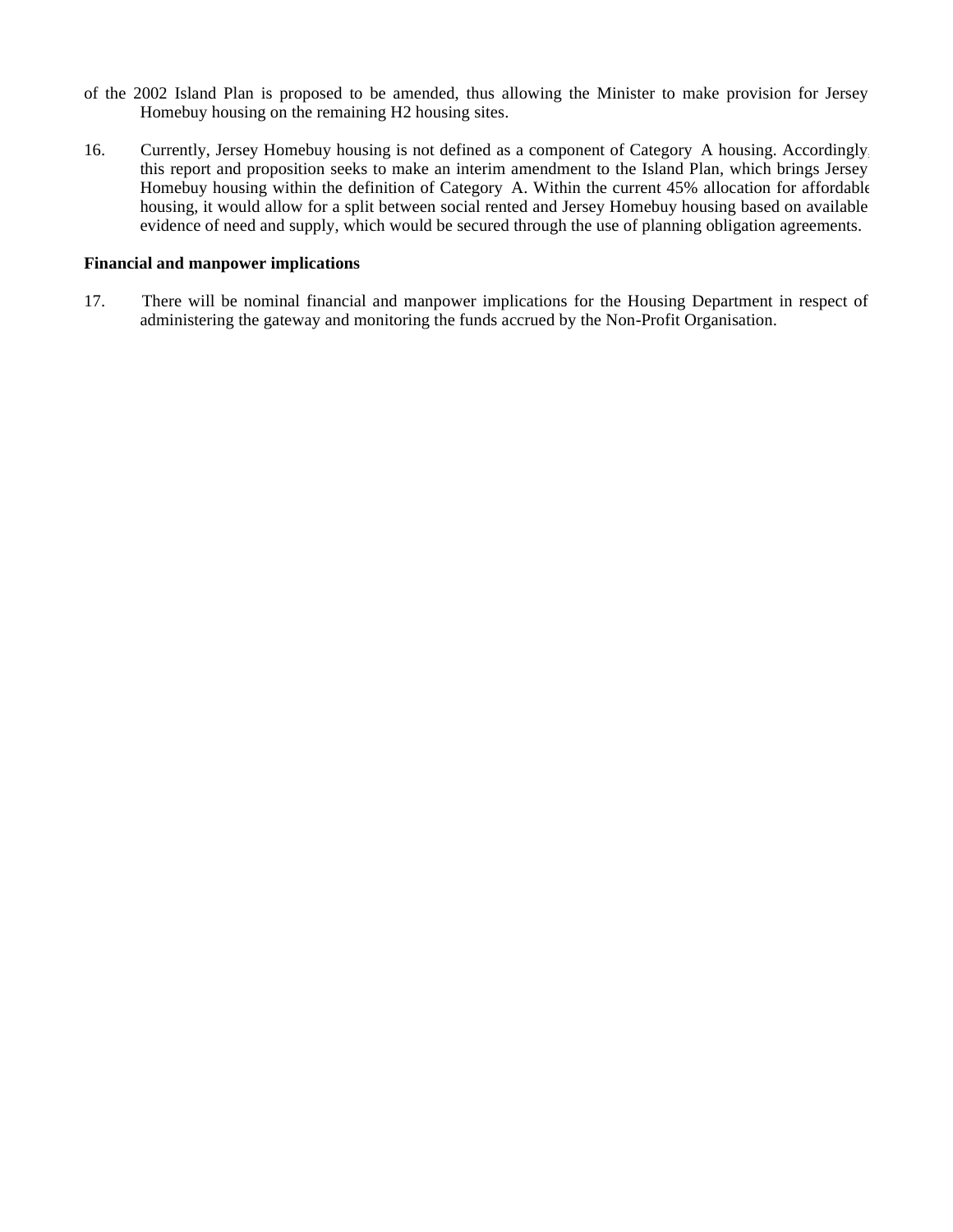- of the 2002 Island Plan is proposed to be amended, thus allowing the Minister to make provision for Jersey Homebuy housing on the remaining H2 housing sites.
- 16. Currently, Jersey Homebuy housing is not defined as a component of Category A housing. Accordingly, this report and proposition seeks to make an interim amendment to the Island Plan, which brings Jersey Homebuy housing within the definition of Category A. Within the current 45% allocation for affordable housing, it would allow for a split between social rented and Jersey Homebuy housing based on available evidence of need and supply, which would be secured through the use of planning obligation agreements.

#### **Financial and manpower implications**

17. There will be nominal financial and manpower implications for the Housing Department in respect of administering the gateway and monitoring the funds accrued by the Non-Profit Organisation.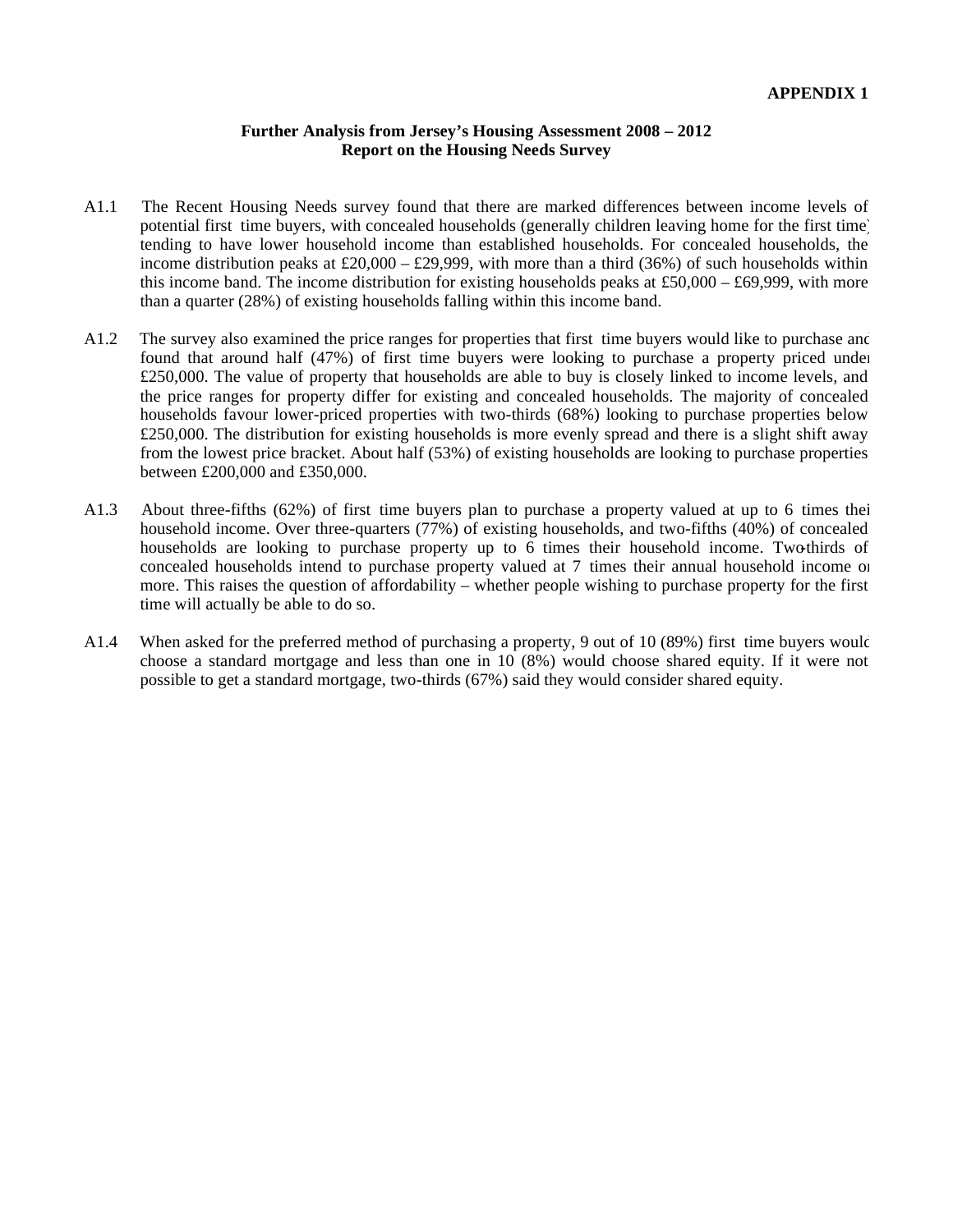#### **Further Analysis from Jersey's Housing Assessment 2008 – 2012 Report on the Housing Needs Survey**

- A1.1 The Recent Housing Needs survey found that there are marked differences between income levels of potential first time buyers, with concealed households (generally children leaving home for the first time) tending to have lower household income than established households. For concealed households, the income distribution peaks at £20,000 – £29,999, with more than a third (36%) of such households within this income band. The income distribution for existing households peaks at £50,000 – £69,999, with more than a quarter (28%) of existing households falling within this income band.
- A1.2 The survey also examined the price ranges for properties that first time buyers would like to purchase and found that around half (47%) of first time buyers were looking to purchase a property priced under £250,000. The value of property that households are able to buy is closely linked to income levels, and the price ranges for property differ for existing and concealed households. The majority of concealed households favour lower-priced properties with two-thirds (68%) looking to purchase properties below £250,000. The distribution for existing households is more evenly spread and there is a slight shift away from the lowest price bracket. About half (53%) of existing households are looking to purchase properties between £200,000 and £350,000.
- A1.3 About three-fifths (62%) of first time buyers plan to purchase a property valued at up to 6 times their household income. Over three-quarters (77%) of existing households, and two-fifths (40%) of concealed households are looking to purchase property up to 6 times their household income. Two-thirds of concealed households intend to purchase property valued at 7 times their annual household income or more. This raises the question of affordability – whether people wishing to purchase property for the first time will actually be able to do so.
- A1.4 When asked for the preferred method of purchasing a property, 9 out of 10 (89%) first time buyers would choose a standard mortgage and less than one in 10 (8%) would choose shared equity. If it were not possible to get a standard mortgage, two-thirds (67%) said they would consider shared equity.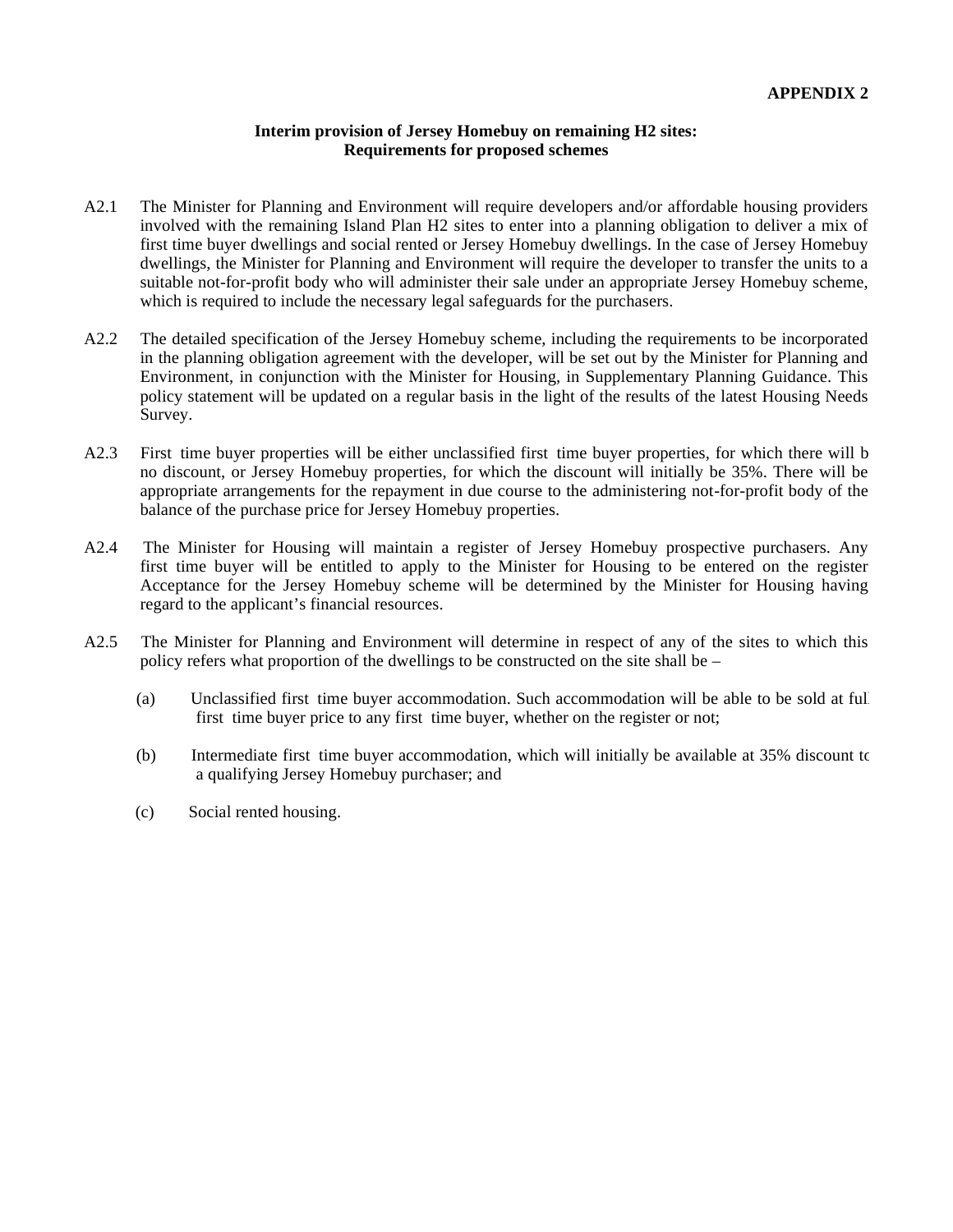#### **Interim provision of Jersey Homebuy on remaining H2 sites: Requirements for proposed schemes**

- A2.1 The Minister for Planning and Environment will require developers and/or affordable housing providers involved with the remaining Island Plan H2 sites to enter into a planning obligation to deliver a mix of first time buyer dwellings and social rented or Jersey Homebuy dwellings. In the case of Jersey Homebuy dwellings, the Minister for Planning and Environment will require the developer to transfer the units to a suitable not-for-profit body who will administer their sale under an appropriate Jersey Homebuy scheme, which is required to include the necessary legal safeguards for the purchasers.
- A2.2 The detailed specification of the Jersey Homebuy scheme, including the requirements to be incorporated in the planning obligation agreement with the developer, will be set out by the Minister for Planning and Environment, in conjunction with the Minister for Housing, in Supplementary Planning Guidance. This policy statement will be updated on a regular basis in the light of the results of the latest Housing Needs Survey.
- A2.3 First time buyer properties will be either unclassified first time buyer properties, for which there will b no discount, or Jersey Homebuy properties, for which the discount will initially be 35%. There will be appropriate arrangements for the repayment in due course to the administering not-for-profit body of the balance of the purchase price for Jersey Homebuy properties.
- A2.4 The Minister for Housing will maintain a register of Jersey Homebuy prospective purchasers. Any first time buyer will be entitled to apply to the Minister for Housing to be entered on the register. Acceptance for the Jersey Homebuy scheme will be determined by the Minister for Housing having regard to the applicant's financial resources.
- A2.5 The Minister for Planning and Environment will determine in respect of any of the sites to which this policy refers what proportion of the dwellings to be constructed on the site shall be –
	- (a) Unclassified first time buyer accommodation. Such accommodation will be able to be sold at full first time buyer price to any first time buyer, whether on the register or not;
	- (b) Intermediate first time buyer accommodation, which will initially be available at 35% discount to a qualifying Jersey Homebuy purchaser; and
	- (c) Social rented housing.